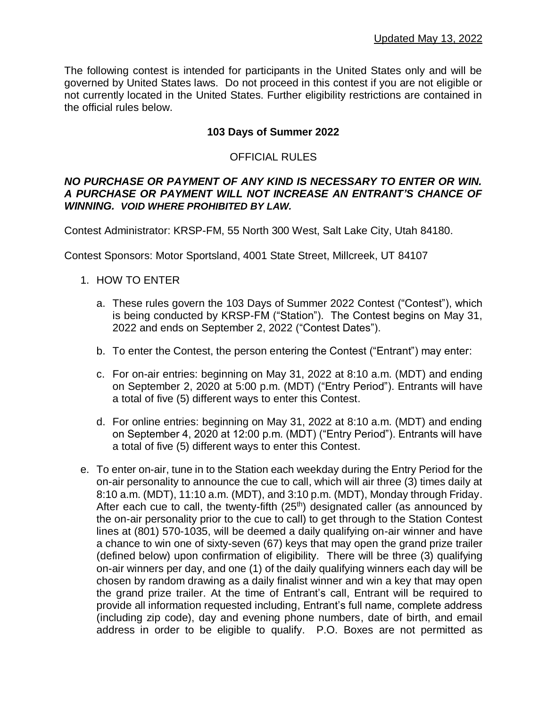The following contest is intended for participants in the United States only and will be governed by United States laws. Do not proceed in this contest if you are not eligible or not currently located in the United States. Further eligibility restrictions are contained in the official rules below.

# **103 Days of Summer 2022**

## OFFICIAL RULES

#### *NO PURCHASE OR PAYMENT OF ANY KIND IS NECESSARY TO ENTER OR WIN. A PURCHASE OR PAYMENT WILL NOT INCREASE AN ENTRANT'S CHANCE OF WINNING. VOID WHERE PROHIBITED BY LAW.*

Contest Administrator: KRSP-FM, 55 North 300 West, Salt Lake City, Utah 84180.

Contest Sponsors: Motor Sportsland, 4001 State Street, Millcreek, UT 84107

#### 1. HOW TO ENTER

- a. These rules govern the 103 Days of Summer 2022 Contest ("Contest"), which is being conducted by KRSP-FM ("Station"). The Contest begins on May 31, 2022 and ends on September 2, 2022 ("Contest Dates").
- b. To enter the Contest, the person entering the Contest ("Entrant") may enter:
- c. For on-air entries: beginning on May 31, 2022 at 8:10 a.m. (MDT) and ending on September 2, 2020 at 5:00 p.m. (MDT) ("Entry Period"). Entrants will have a total of five (5) different ways to enter this Contest.
- d. For online entries: beginning on May 31, 2022 at 8:10 a.m. (MDT) and ending on September 4, 2020 at 12:00 p.m. (MDT) ("Entry Period"). Entrants will have a total of five (5) different ways to enter this Contest.
- e. To enter on-air, tune in to the Station each weekday during the Entry Period for the on-air personality to announce the cue to call, which will air three (3) times daily at 8:10 a.m. (MDT), 11:10 a.m. (MDT), and 3:10 p.m. (MDT), Monday through Friday. After each cue to call, the twenty-fifth  $(25<sup>th</sup>)$  designated caller (as announced by the on-air personality prior to the cue to call) to get through to the Station Contest lines at (801) 570-1035, will be deemed a daily qualifying on-air winner and have a chance to win one of sixty-seven (67) keys that may open the grand prize trailer (defined below) upon confirmation of eligibility. There will be three (3) qualifying on-air winners per day, and one (1) of the daily qualifying winners each day will be chosen by random drawing as a daily finalist winner and win a key that may open the grand prize trailer. At the time of Entrant's call, Entrant will be required to provide all information requested including, Entrant's full name, complete address (including zip code), day and evening phone numbers, date of birth, and email address in order to be eligible to qualify. P.O. Boxes are not permitted as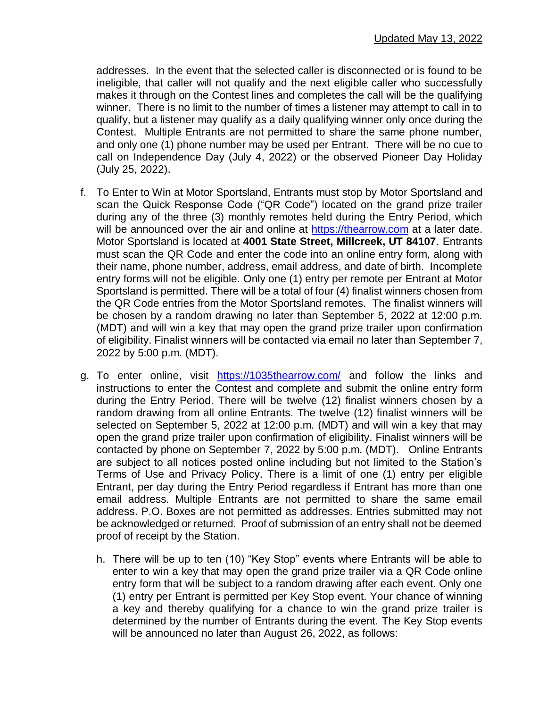addresses. In the event that the selected caller is disconnected or is found to be ineligible, that caller will not qualify and the next eligible caller who successfully makes it through on the Contest lines and completes the call will be the qualifying winner. There is no limit to the number of times a listener may attempt to call in to qualify, but a listener may qualify as a daily qualifying winner only once during the Contest. Multiple Entrants are not permitted to share the same phone number, and only one (1) phone number may be used per Entrant. There will be no cue to call on Independence Day (July 4, 2022) or the observed Pioneer Day Holiday (July 25, 2022).

- f. To Enter to Win at Motor Sportsland, Entrants must stop by Motor Sportsland and scan the Quick Response Code ("QR Code") located on the grand prize trailer during any of the three (3) monthly remotes held during the Entry Period, which will be announced over the air and online at [https://thearrow.com](https://thearrow.com/) at a later date. Motor Sportsland is located at **4001 State Street, Millcreek, UT 84107**. Entrants must scan the QR Code and enter the code into an online entry form, along with their name, phone number, address, email address, and date of birth. Incomplete entry forms will not be eligible. Only one (1) entry per remote per Entrant at Motor Sportsland is permitted. There will be a total of four (4) finalist winners chosen from the QR Code entries from the Motor Sportsland remotes. The finalist winners will be chosen by a random drawing no later than September 5, 2022 at 12:00 p.m. (MDT) and will win a key that may open the grand prize trailer upon confirmation of eligibility. Finalist winners will be contacted via email no later than September 7, 2022 by 5:00 p.m. (MDT).
- g. To enter online, visit <https://1035thearrow.com/> and follow the links and instructions to enter the Contest and complete and submit the online entry form during the Entry Period. There will be twelve (12) finalist winners chosen by a random drawing from all online Entrants. The twelve (12) finalist winners will be selected on September 5, 2022 at 12:00 p.m. (MDT) and will win a key that may open the grand prize trailer upon confirmation of eligibility. Finalist winners will be contacted by phone on September 7, 2022 by 5:00 p.m. (MDT). Online Entrants are subject to all notices posted online including but not limited to the Station's Terms of Use and Privacy Policy. There is a limit of one (1) entry per eligible Entrant, per day during the Entry Period regardless if Entrant has more than one email address. Multiple Entrants are not permitted to share the same email address. P.O. Boxes are not permitted as addresses. Entries submitted may not be acknowledged or returned. Proof of submission of an entry shall not be deemed proof of receipt by the Station.
	- h. There will be up to ten (10) "Key Stop" events where Entrants will be able to enter to win a key that may open the grand prize trailer via a QR Code online entry form that will be subject to a random drawing after each event. Only one (1) entry per Entrant is permitted per Key Stop event. Your chance of winning a key and thereby qualifying for a chance to win the grand prize trailer is determined by the number of Entrants during the event. The Key Stop events will be announced no later than August 26, 2022, as follows: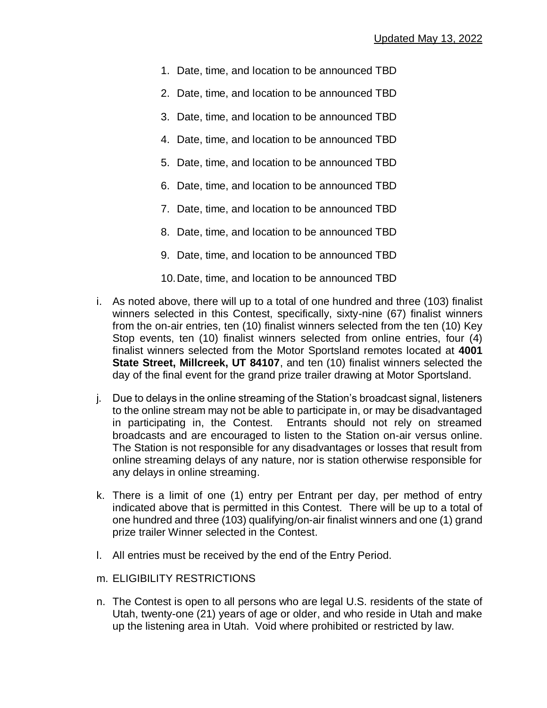- 1. Date, time, and location to be announced TBD
- 2. Date, time, and location to be announced TBD
- 3. Date, time, and location to be announced TBD
- 4. Date, time, and location to be announced TBD
- 5. Date, time, and location to be announced TBD
- 6. Date, time, and location to be announced TBD
- 7. Date, time, and location to be announced TBD
- 8. Date, time, and location to be announced TBD
- 9. Date, time, and location to be announced TBD
- 10.Date, time, and location to be announced TBD
- i. As noted above, there will up to a total of one hundred and three (103) finalist winners selected in this Contest, specifically, sixty-nine (67) finalist winners from the on-air entries, ten (10) finalist winners selected from the ten (10) Key Stop events, ten (10) finalist winners selected from online entries, four (4) finalist winners selected from the Motor Sportsland remotes located at **4001 State Street, Millcreek, UT 84107**, and ten (10) finalist winners selected the day of the final event for the grand prize trailer drawing at Motor Sportsland.
- j. Due to delays in the online streaming of the Station's broadcast signal, listeners to the online stream may not be able to participate in, or may be disadvantaged in participating in, the Contest. Entrants should not rely on streamed broadcasts and are encouraged to listen to the Station on-air versus online. The Station is not responsible for any disadvantages or losses that result from online streaming delays of any nature, nor is station otherwise responsible for any delays in online streaming.
- k. There is a limit of one (1) entry per Entrant per day, per method of entry indicated above that is permitted in this Contest. There will be up to a total of one hundred and three (103) qualifying/on-air finalist winners and one (1) grand prize trailer Winner selected in the Contest.
- l. All entries must be received by the end of the Entry Period.
- m. ELIGIBILITY RESTRICTIONS
- n. The Contest is open to all persons who are legal U.S. residents of the state of Utah, twenty-one (21) years of age or older, and who reside in Utah and make up the listening area in Utah. Void where prohibited or restricted by law.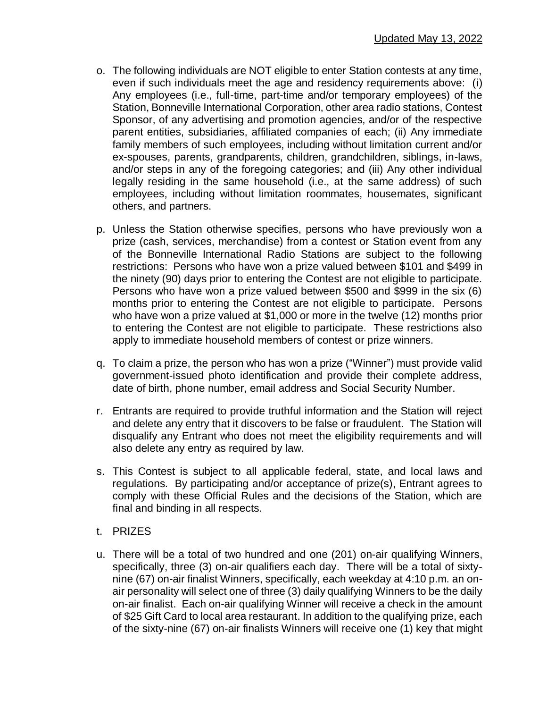- o. The following individuals are NOT eligible to enter Station contests at any time, even if such individuals meet the age and residency requirements above: (i) Any employees (i.e., full-time, part-time and/or temporary employees) of the Station, Bonneville International Corporation, other area radio stations, Contest Sponsor, of any advertising and promotion agencies, and/or of the respective parent entities, subsidiaries, affiliated companies of each; (ii) Any immediate family members of such employees, including without limitation current and/or ex-spouses, parents, grandparents, children, grandchildren, siblings, in-laws, and/or steps in any of the foregoing categories; and (iii) Any other individual legally residing in the same household (i.e., at the same address) of such employees, including without limitation roommates, housemates, significant others, and partners.
- p. Unless the Station otherwise specifies, persons who have previously won a prize (cash, services, merchandise) from a contest or Station event from any of the Bonneville International Radio Stations are subject to the following restrictions: Persons who have won a prize valued between \$101 and \$499 in the ninety (90) days prior to entering the Contest are not eligible to participate. Persons who have won a prize valued between \$500 and \$999 in the six (6) months prior to entering the Contest are not eligible to participate. Persons who have won a prize valued at \$1,000 or more in the twelve (12) months prior to entering the Contest are not eligible to participate. These restrictions also apply to immediate household members of contest or prize winners.
- q. To claim a prize, the person who has won a prize ("Winner") must provide valid government-issued photo identification and provide their complete address, date of birth, phone number, email address and Social Security Number.
- r. Entrants are required to provide truthful information and the Station will reject and delete any entry that it discovers to be false or fraudulent. The Station will disqualify any Entrant who does not meet the eligibility requirements and will also delete any entry as required by law.
- s. This Contest is subject to all applicable federal, state, and local laws and regulations. By participating and/or acceptance of prize(s), Entrant agrees to comply with these Official Rules and the decisions of the Station, which are final and binding in all respects.
- t. PRIZES
- u. There will be a total of two hundred and one (201) on-air qualifying Winners, specifically, three (3) on-air qualifiers each day. There will be a total of sixtynine (67) on-air finalist Winners, specifically, each weekday at 4:10 p.m. an onair personality will select one of three (3) daily qualifying Winners to be the daily on-air finalist. Each on-air qualifying Winner will receive a check in the amount of \$25 Gift Card to local area restaurant. In addition to the qualifying prize, each of the sixty-nine (67) on-air finalists Winners will receive one (1) key that might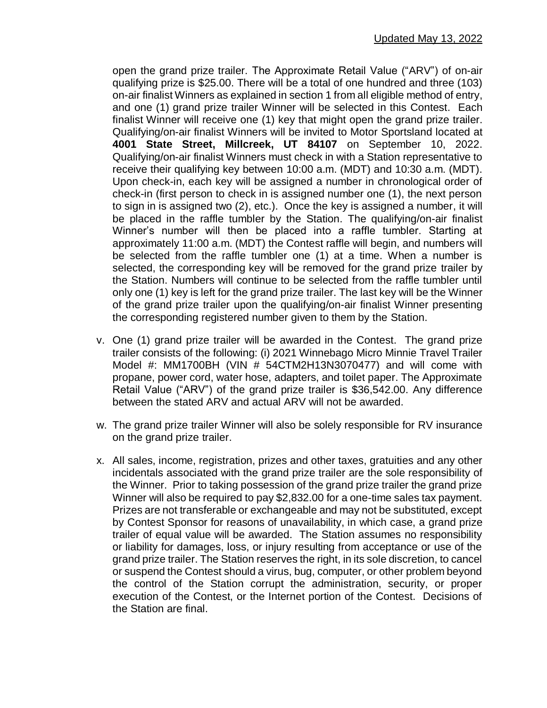open the grand prize trailer. The Approximate Retail Value ("ARV") of on-air qualifying prize is \$25.00. There will be a total of one hundred and three (103) on-air finalist Winners as explained in section 1 from all eligible method of entry, and one (1) grand prize trailer Winner will be selected in this Contest. Each finalist Winner will receive one (1) key that might open the grand prize trailer. Qualifying/on-air finalist Winners will be invited to Motor Sportsland located at **4001 State Street, Millcreek, UT 84107** on September 10, 2022. Qualifying/on-air finalist Winners must check in with a Station representative to receive their qualifying key between 10:00 a.m. (MDT) and 10:30 a.m. (MDT). Upon check-in, each key will be assigned a number in chronological order of check-in (first person to check in is assigned number one (1), the next person to sign in is assigned two (2), etc.). Once the key is assigned a number, it will be placed in the raffle tumbler by the Station. The qualifying/on-air finalist Winner's number will then be placed into a raffle tumbler. Starting at approximately 11:00 a.m. (MDT) the Contest raffle will begin, and numbers will be selected from the raffle tumbler one (1) at a time. When a number is selected, the corresponding key will be removed for the grand prize trailer by the Station. Numbers will continue to be selected from the raffle tumbler until only one (1) key is left for the grand prize trailer. The last key will be the Winner of the grand prize trailer upon the qualifying/on-air finalist Winner presenting the corresponding registered number given to them by the Station.

- v. One (1) grand prize trailer will be awarded in the Contest. The grand prize trailer consists of the following: (i) 2021 Winnebago Micro Minnie Travel Trailer Model #: MM1700BH (VIN # 54CTM2H13N3070477) and will come with propane, power cord, water hose, adapters, and toilet paper. The Approximate Retail Value ("ARV") of the grand prize trailer is \$36,542.00. Any difference between the stated ARV and actual ARV will not be awarded.
- w. The grand prize trailer Winner will also be solely responsible for RV insurance on the grand prize trailer.
- x. All sales, income, registration, prizes and other taxes, gratuities and any other incidentals associated with the grand prize trailer are the sole responsibility of the Winner. Prior to taking possession of the grand prize trailer the grand prize Winner will also be required to pay \$2,832.00 for a one-time sales tax payment. Prizes are not transferable or exchangeable and may not be substituted, except by Contest Sponsor for reasons of unavailability, in which case, a grand prize trailer of equal value will be awarded. The Station assumes no responsibility or liability for damages, loss, or injury resulting from acceptance or use of the grand prize trailer. The Station reserves the right, in its sole discretion, to cancel or suspend the Contest should a virus, bug, computer, or other problem beyond the control of the Station corrupt the administration, security, or proper execution of the Contest, or the Internet portion of the Contest. Decisions of the Station are final.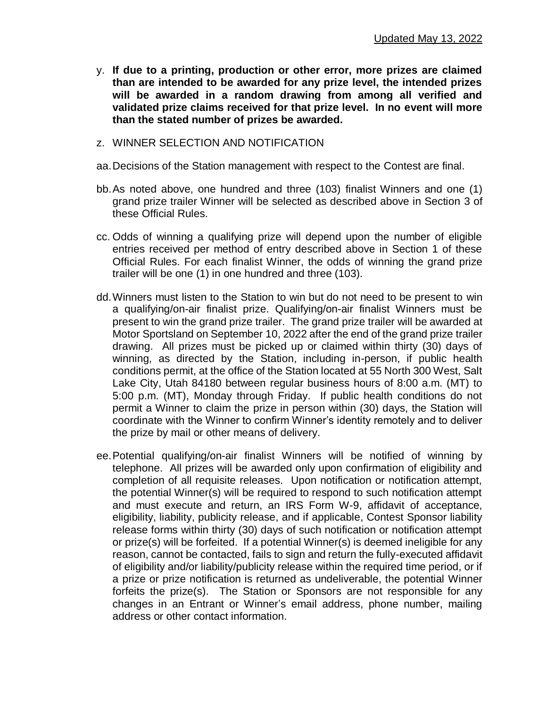- y. **If due to a printing, production or other error, more prizes are claimed than are intended to be awarded for any prize level, the intended prizes will be awarded in a random drawing from among all verified and validated prize claims received for that prize level. In no event will more than the stated number of prizes be awarded.**
- z. WINNER SELECTION AND NOTIFICATION
- aa.Decisions of the Station management with respect to the Contest are final.
- bb.As noted above, one hundred and three (103) finalist Winners and one (1) grand prize trailer Winner will be selected as described above in Section 3 of these Official Rules.
- cc. Odds of winning a qualifying prize will depend upon the number of eligible entries received per method of entry described above in Section 1 of these Official Rules. For each finalist Winner, the odds of winning the grand prize trailer will be one (1) in one hundred and three (103).
- dd.Winners must listen to the Station to win but do not need to be present to win a qualifying/on-air finalist prize. Qualifying/on-air finalist Winners must be present to win the grand prize trailer. The grand prize trailer will be awarded at Motor Sportsland on September 10, 2022 after the end of the grand prize trailer drawing. All prizes must be picked up or claimed within thirty (30) days of winning, as directed by the Station, including in-person, if public health conditions permit, at the office of the Station located at 55 North 300 West, Salt Lake City, Utah 84180 between regular business hours of 8:00 a.m. (MT) to 5:00 p.m. (MT), Monday through Friday. If public health conditions do not permit a Winner to claim the prize in person within (30) days, the Station will coordinate with the Winner to confirm Winner's identity remotely and to deliver the prize by mail or other means of delivery.
- ee.Potential qualifying/on-air finalist Winners will be notified of winning by telephone. All prizes will be awarded only upon confirmation of eligibility and completion of all requisite releases. Upon notification or notification attempt, the potential Winner(s) will be required to respond to such notification attempt and must execute and return, an IRS Form W-9, affidavit of acceptance, eligibility, liability, publicity release, and if applicable, Contest Sponsor liability release forms within thirty (30) days of such notification or notification attempt or prize(s) will be forfeited. If a potential Winner(s) is deemed ineligible for any reason, cannot be contacted, fails to sign and return the fully-executed affidavit of eligibility and/or liability/publicity release within the required time period, or if a prize or prize notification is returned as undeliverable, the potential Winner forfeits the prize(s). The Station or Sponsors are not responsible for any changes in an Entrant or Winner's email address, phone number, mailing address or other contact information.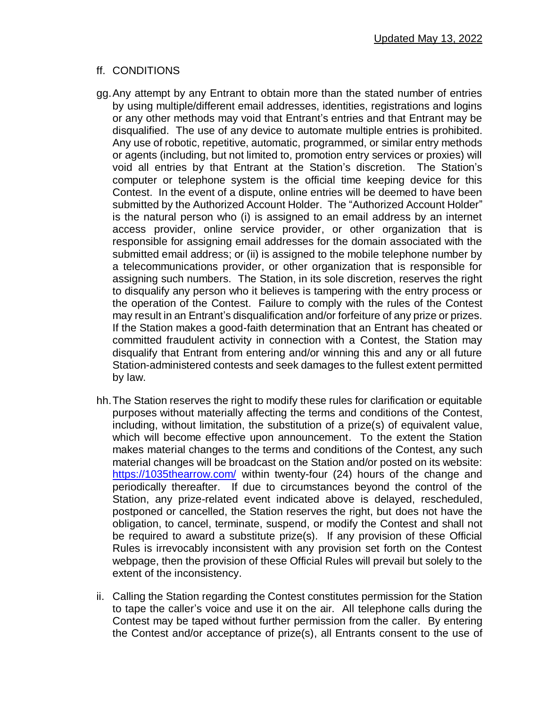# ff. CONDITIONS

- gg.Any attempt by any Entrant to obtain more than the stated number of entries by using multiple/different email addresses, identities, registrations and logins or any other methods may void that Entrant's entries and that Entrant may be disqualified. The use of any device to automate multiple entries is prohibited. Any use of robotic, repetitive, automatic, programmed, or similar entry methods or agents (including, but not limited to, promotion entry services or proxies) will void all entries by that Entrant at the Station's discretion. The Station's computer or telephone system is the official time keeping device for this Contest. In the event of a dispute, online entries will be deemed to have been submitted by the Authorized Account Holder. The "Authorized Account Holder" is the natural person who (i) is assigned to an email address by an internet access provider, online service provider, or other organization that is responsible for assigning email addresses for the domain associated with the submitted email address; or (ii) is assigned to the mobile telephone number by a telecommunications provider, or other organization that is responsible for assigning such numbers. The Station, in its sole discretion, reserves the right to disqualify any person who it believes is tampering with the entry process or the operation of the Contest. Failure to comply with the rules of the Contest may result in an Entrant's disqualification and/or forfeiture of any prize or prizes. If the Station makes a good-faith determination that an Entrant has cheated or committed fraudulent activity in connection with a Contest, the Station may disqualify that Entrant from entering and/or winning this and any or all future Station-administered contests and seek damages to the fullest extent permitted by law.
- hh.The Station reserves the right to modify these rules for clarification or equitable purposes without materially affecting the terms and conditions of the Contest, including, without limitation, the substitution of a prize(s) of equivalent value, which will become effective upon announcement. To the extent the Station makes material changes to the terms and conditions of the Contest, any such material changes will be broadcast on the Station and/or posted on its website: <https://1035thearrow.com/> within twenty-four (24) hours of the change and periodically thereafter. If due to circumstances beyond the control of the Station, any prize-related event indicated above is delayed, rescheduled, postponed or cancelled, the Station reserves the right, but does not have the obligation, to cancel, terminate, suspend, or modify the Contest and shall not be required to award a substitute prize(s). If any provision of these Official Rules is irrevocably inconsistent with any provision set forth on the Contest webpage, then the provision of these Official Rules will prevail but solely to the extent of the inconsistency.
- ii. Calling the Station regarding the Contest constitutes permission for the Station to tape the caller's voice and use it on the air. All telephone calls during the Contest may be taped without further permission from the caller. By entering the Contest and/or acceptance of prize(s), all Entrants consent to the use of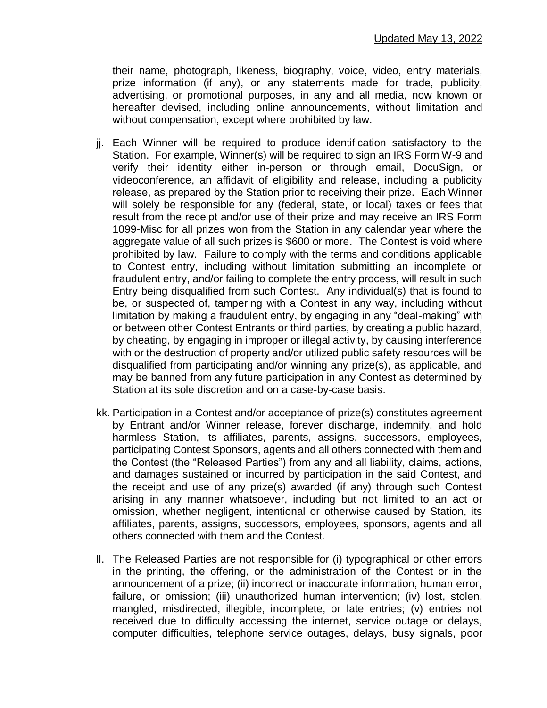their name, photograph, likeness, biography, voice, video, entry materials, prize information (if any), or any statements made for trade, publicity, advertising, or promotional purposes, in any and all media, now known or hereafter devised, including online announcements, without limitation and without compensation, except where prohibited by law.

- jj. Each Winner will be required to produce identification satisfactory to the Station. For example, Winner(s) will be required to sign an IRS Form W-9 and verify their identity either in-person or through email, DocuSign, or videoconference, an affidavit of eligibility and release, including a publicity release, as prepared by the Station prior to receiving their prize. Each Winner will solely be responsible for any (federal, state, or local) taxes or fees that result from the receipt and/or use of their prize and may receive an IRS Form 1099-Misc for all prizes won from the Station in any calendar year where the aggregate value of all such prizes is \$600 or more. The Contest is void where prohibited by law. Failure to comply with the terms and conditions applicable to Contest entry, including without limitation submitting an incomplete or fraudulent entry, and/or failing to complete the entry process, will result in such Entry being disqualified from such Contest. Any individual(s) that is found to be, or suspected of, tampering with a Contest in any way, including without limitation by making a fraudulent entry, by engaging in any "deal-making" with or between other Contest Entrants or third parties, by creating a public hazard, by cheating, by engaging in improper or illegal activity, by causing interference with or the destruction of property and/or utilized public safety resources will be disqualified from participating and/or winning any prize(s), as applicable, and may be banned from any future participation in any Contest as determined by Station at its sole discretion and on a case-by-case basis.
- kk. Participation in a Contest and/or acceptance of prize(s) constitutes agreement by Entrant and/or Winner release, forever discharge, indemnify, and hold harmless Station, its affiliates, parents, assigns, successors, employees, participating Contest Sponsors, agents and all others connected with them and the Contest (the "Released Parties") from any and all liability, claims, actions, and damages sustained or incurred by participation in the said Contest, and the receipt and use of any prize(s) awarded (if any) through such Contest arising in any manner whatsoever, including but not limited to an act or omission, whether negligent, intentional or otherwise caused by Station, its affiliates, parents, assigns, successors, employees, sponsors, agents and all others connected with them and the Contest.
- ll. The Released Parties are not responsible for (i) typographical or other errors in the printing, the offering, or the administration of the Contest or in the announcement of a prize; (ii) incorrect or inaccurate information, human error, failure, or omission; (iii) unauthorized human intervention; (iv) lost, stolen, mangled, misdirected, illegible, incomplete, or late entries; (v) entries not received due to difficulty accessing the internet, service outage or delays, computer difficulties, telephone service outages, delays, busy signals, poor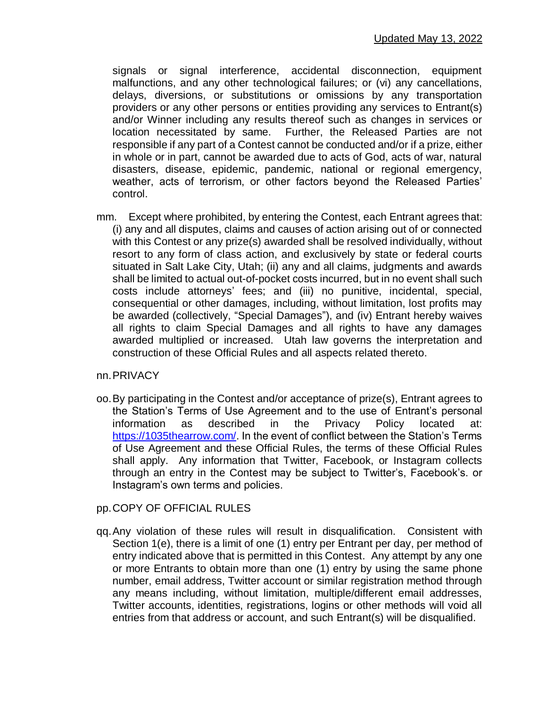signals or signal interference, accidental disconnection, equipment malfunctions, and any other technological failures; or (vi) any cancellations, delays, diversions, or substitutions or omissions by any transportation providers or any other persons or entities providing any services to Entrant(s) and/or Winner including any results thereof such as changes in services or location necessitated by same. Further, the Released Parties are not responsible if any part of a Contest cannot be conducted and/or if a prize, either in whole or in part, cannot be awarded due to acts of God, acts of war, natural disasters, disease, epidemic, pandemic, national or regional emergency, weather, acts of terrorism, or other factors beyond the Released Parties' control.

mm. Except where prohibited, by entering the Contest, each Entrant agrees that: (i) any and all disputes, claims and causes of action arising out of or connected with this Contest or any prize(s) awarded shall be resolved individually, without resort to any form of class action, and exclusively by state or federal courts situated in Salt Lake City, Utah; (ii) any and all claims, judgments and awards shall be limited to actual out-of-pocket costs incurred, but in no event shall such costs include attorneys' fees; and (iii) no punitive, incidental, special, consequential or other damages, including, without limitation, lost profits may be awarded (collectively, "Special Damages"), and (iv) Entrant hereby waives all rights to claim Special Damages and all rights to have any damages awarded multiplied or increased. Utah law governs the interpretation and construction of these Official Rules and all aspects related thereto.

#### nn.PRIVACY

oo.By participating in the Contest and/or acceptance of prize(s), Entrant agrees to the Station's Terms of Use Agreement and to the use of Entrant's personal information as described in the Privacy Policy located at: [https://1035thearrow.com/.](https://1035thearrow.com/) In the event of conflict between the Station's Terms of Use Agreement and these Official Rules, the terms of these Official Rules shall apply. Any information that Twitter, Facebook, or Instagram collects through an entry in the Contest may be subject to Twitter's, Facebook's. or Instagram's own terms and policies.

# pp.COPY OF OFFICIAL RULES

qq.Any violation of these rules will result in disqualification. Consistent with Section 1(e), there is a limit of one (1) entry per Entrant per day, per method of entry indicated above that is permitted in this Contest. Any attempt by any one or more Entrants to obtain more than one (1) entry by using the same phone number, email address, Twitter account or similar registration method through any means including, without limitation, multiple/different email addresses, Twitter accounts, identities, registrations, logins or other methods will void all entries from that address or account, and such Entrant(s) will be disqualified.